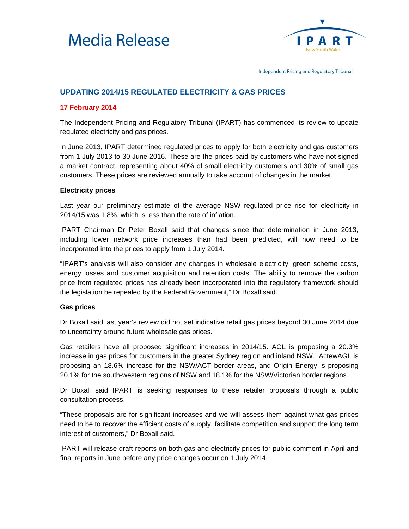



Independent Pricing and Regulatory Tribunal

## **UPDATING 2014/15 REGULATED ELECTRICITY & GAS PRICES**

## **17 February 2014**

The Independent Pricing and Regulatory Tribunal (IPART) has commenced its review to update regulated electricity and gas prices.

In June 2013, IPART determined regulated prices to apply for both electricity and gas customers from 1 July 2013 to 30 June 2016. These are the prices paid by customers who have not signed a market contract, representing about 40% of small electricity customers and 30% of small gas customers. These prices are reviewed annually to take account of changes in the market.

## **Electricity prices**

Last year our preliminary estimate of the average NSW regulated price rise for electricity in 2014/15 was 1.8%, which is less than the rate of inflation.

IPART Chairman Dr Peter Boxall said that changes since that determination in June 2013, including lower network price increases than had been predicted, will now need to be incorporated into the prices to apply from 1 July 2014.

"IPART's analysis will also consider any changes in wholesale electricity, green scheme costs, energy losses and customer acquisition and retention costs. The ability to remove the carbon price from regulated prices has already been incorporated into the regulatory framework should the legislation be repealed by the Federal Government," Dr Boxall said.

## **Gas prices**

Dr Boxall said last year's review did not set indicative retail gas prices beyond 30 June 2014 due to uncertainty around future wholesale gas prices.

Gas retailers have all proposed significant increases in 2014/15. AGL is proposing a 20.3% increase in gas prices for customers in the greater Sydney region and inland NSW. ActewAGL is proposing an 18.6% increase for the NSW/ACT border areas, and Origin Energy is proposing 20.1% for the south-western regions of NSW and 18.1% for the NSW/Victorian border regions.

Dr Boxall said IPART is seeking responses to these retailer proposals through a public consultation process.

"These proposals are for significant increases and we will assess them against what gas prices need to be to recover the efficient costs of supply, facilitate competition and support the long term interest of customers," Dr Boxall said.

IPART will release draft reports on both gas and electricity prices for public comment in April and final reports in June before any price changes occur on 1 July 2014.